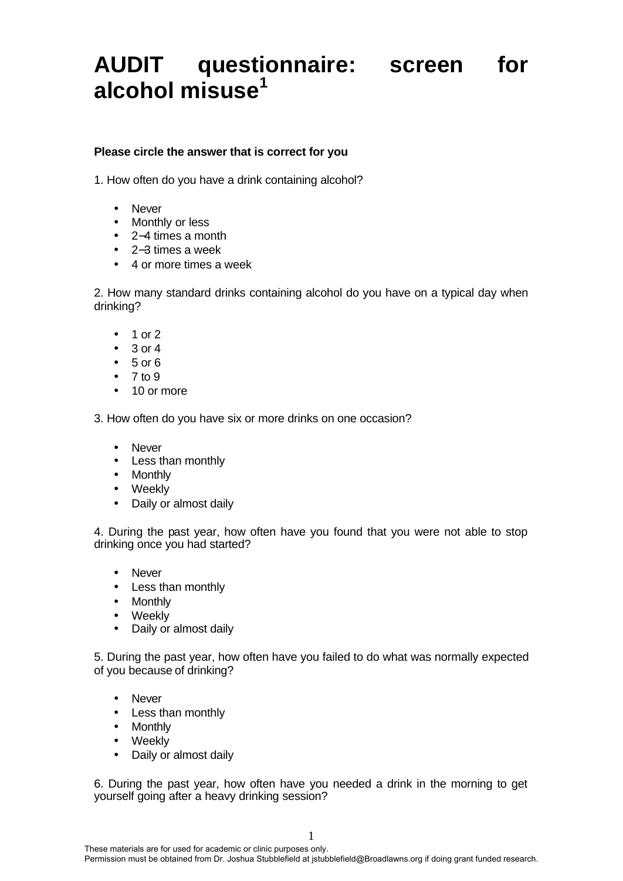## **AUDIT questionnaire: screen for alcohol misuse<sup>1</sup>**

## **Please circle the answer that is correct for you**

1. How often do you have a drink containing alcohol?

- Never
- Monthly or less
- 2−4 times a month
- 2−3 times a week
- 4 or more times a week

2. How many standard drinks containing alcohol do you have on a typical day when drinking?

- 1 or 2
- $\bullet$  3 or 4
- $5 or 6$
- $7 to 9$
- 10 or more

3. How often do you have six or more drinks on one occasion?

- Never
- Less than monthly
- Monthly
- Weekly
- Daily or almost daily

4. During the past year, how often have you found that you were not able to stop drinking once you had started?

- Never
- Less than monthly
- Monthly
- Weekly
- Daily or almost daily

5. During the past year, how often have you failed to do what was normally expected of you because of drinking?

- Never
- Less than monthly
- Monthly
- Weekly
- Daily or almost daily

6. During the past year, how often have you needed a drink in the morning to get yourself going after a heavy drinking session?